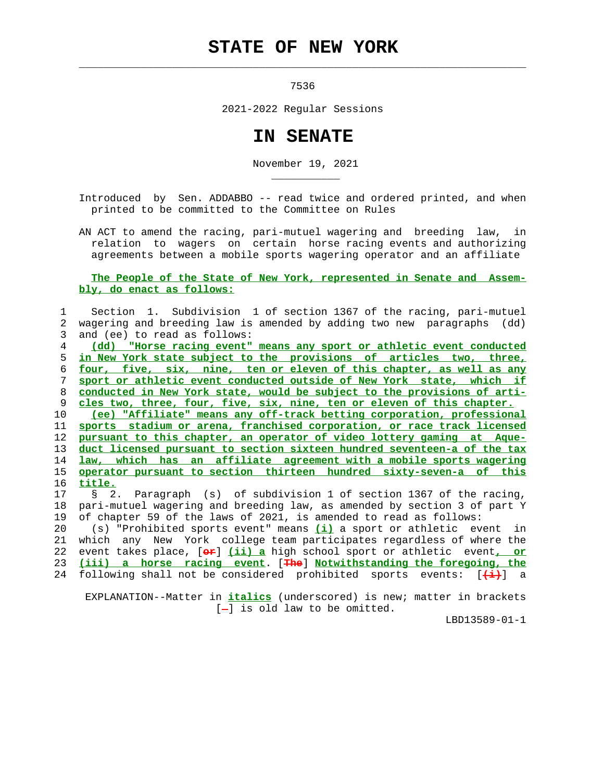## **STATE OF NEW YORK**

 $\mathcal{L}_\text{max} = \frac{1}{2} \sum_{i=1}^{n} \frac{1}{2} \sum_{i=1}^{n} \frac{1}{2} \sum_{i=1}^{n} \frac{1}{2} \sum_{i=1}^{n} \frac{1}{2} \sum_{i=1}^{n} \frac{1}{2} \sum_{i=1}^{n} \frac{1}{2} \sum_{i=1}^{n} \frac{1}{2} \sum_{i=1}^{n} \frac{1}{2} \sum_{i=1}^{n} \frac{1}{2} \sum_{i=1}^{n} \frac{1}{2} \sum_{i=1}^{n} \frac{1}{2} \sum_{i=1}^{n} \frac{1$ 

\_\_\_\_\_\_\_\_\_\_\_

7536

2021-2022 Regular Sessions

## **IN SENATE**

November 19, 2021

 Introduced by Sen. ADDABBO -- read twice and ordered printed, and when printed to be committed to the Committee on Rules

 AN ACT to amend the racing, pari-mutuel wagering and breeding law, in relation to wagers on certain horse racing events and authorizing agreements between a mobile sports wagering operator and an affiliate

## **The People of the State of New York, represented in Senate and Assem bly, do enact as follows:**

## 1 Section 1. Subdivision 1 of section 1367 of the racing, pari-mutuel 2 wagering and breeding law is amended by adding two new paragraphs (dd) 3 and (ee) to read as follows: 4 **(dd) "Horse racing event" means any sport or athletic event conducted** 5 **in New York state subject to the provisions of articles two, three,** 6 **four, five, six, nine, ten or eleven of this chapter, as well as any** 7 **sport or athletic event conducted outside of New York state, which if** 8 **conducted in New York state, would be subject to the provisions of arti-** 9 **cles two, three, four, five, six, nine, ten or eleven of this chapter.** 10 **(ee) "Affiliate" means any off-track betting corporation, professional** 11 **sports stadium or arena, franchised corporation, or race track licensed** 12 **pursuant to this chapter, an operator of video lottery gaming at Aque-** 13 **duct licensed pursuant to section sixteen hundred seventeen-a of the tax** 14 **law, which has an affiliate agreement with a mobile sports wagering** 15 **operator pursuant to section thirteen hundred sixty-seven-a of this** 16 **title.** 17 § 2. Paragraph (s) of subdivision 1 of section 1367 of the racing, 18 pari-mutuel wagering and breeding law, as amended by section 3 of part Y

 19 of chapter 59 of the laws of 2021, is amended to read as follows: 20 (s) "Prohibited sports event" means **(i)** a sport or athletic event in 21 which any New York college team participates regardless of where the 22 event takes place, [**or**] **(ii) a** high school sport or athletic event**, or** 23 **(iii) a horse racing event**. [**The**] **Notwithstanding the foregoing, the**

24 following shall not be considered prohibited sports events: [**(i)**] a

 EXPLANATION--Matter in **italics** (underscored) is new; matter in brackets  $[-]$  is old law to be omitted.

LBD13589-01-1